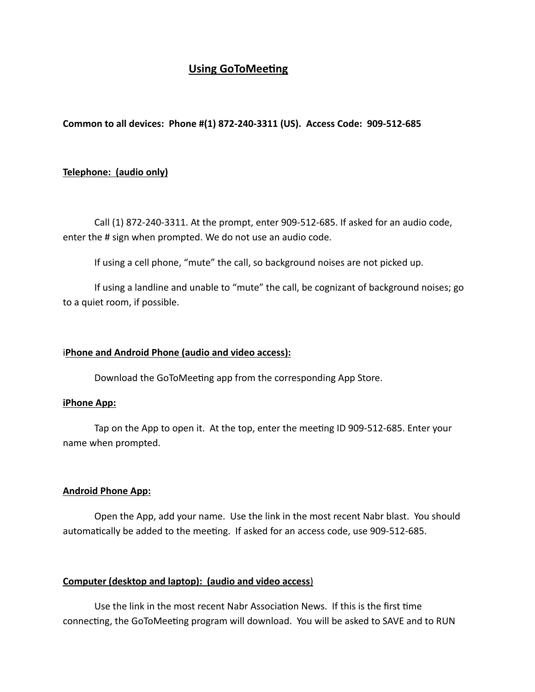# **Using GoToMeeting**

**Common to all devices: Phone #(1) 872-240-3311 (US). Access Code: 909-512-685**

### **Telephone: (audio only)**

Call (1) 872-240-3311. At the prompt, enter 909-512-685. If asked for an audio code, enter the # sign when prompted. We do not use an audio code.

If using a cell phone, "mute" the call, so background noises are not picked up.

If using a landline and unable to "mute" the call, be cognizant of background noises; go to a quiet room, if possible.

#### i**Phone and Android Phone (audio and video access):**

Download the GoToMeeting app from the corresponding App Store.

#### **iPhone App:**

Tap on the App to open it. At the top, enter the meeting ID 909-512-685. Enter your name when prompted.

#### **Android Phone App:**

Open the App, add your name. Use the link in the most recent Nabr blast. You should automatically be added to the meeting. If asked for an access code, use 909-512-685.

#### **Computer (desktop and laptop): (audio and video access**)

Use the link in the most recent Nabr Association News. If this is the first time connecting, the GoToMeeting program will download. You will be asked to SAVE and to RUN